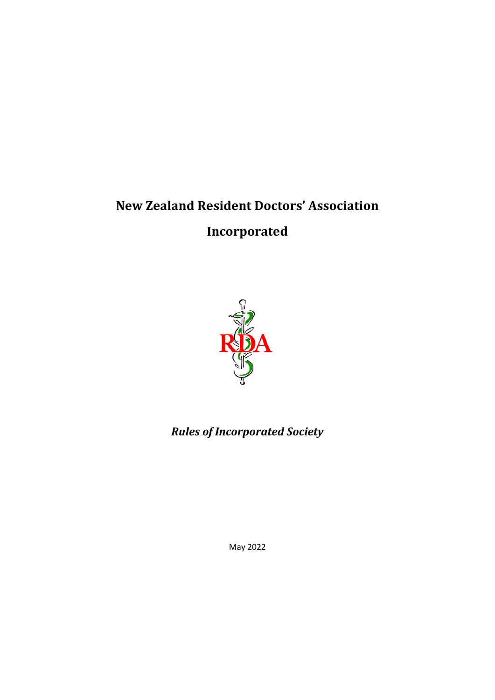# **New Zealand Resident Doctors' Association Incorporated**



## *Rules of Incorporated Society*

May 2022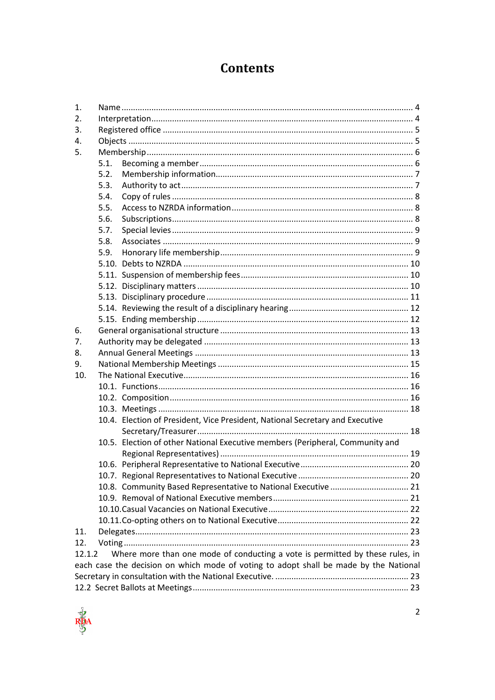## **Contents**

| 1.                                                                                      |      |                                                                               |  |  |  |
|-----------------------------------------------------------------------------------------|------|-------------------------------------------------------------------------------|--|--|--|
| 2.                                                                                      |      |                                                                               |  |  |  |
| 3.                                                                                      |      |                                                                               |  |  |  |
| 4.                                                                                      |      |                                                                               |  |  |  |
| 5.                                                                                      |      |                                                                               |  |  |  |
|                                                                                         | 5.1. |                                                                               |  |  |  |
|                                                                                         | 5.2. |                                                                               |  |  |  |
|                                                                                         | 5.3. |                                                                               |  |  |  |
|                                                                                         | 5.4. |                                                                               |  |  |  |
|                                                                                         | 5.5. |                                                                               |  |  |  |
|                                                                                         | 5.6. |                                                                               |  |  |  |
|                                                                                         | 5.7. |                                                                               |  |  |  |
|                                                                                         | 5.8. |                                                                               |  |  |  |
|                                                                                         | 5.9. |                                                                               |  |  |  |
|                                                                                         |      |                                                                               |  |  |  |
|                                                                                         |      |                                                                               |  |  |  |
|                                                                                         |      |                                                                               |  |  |  |
|                                                                                         |      |                                                                               |  |  |  |
|                                                                                         |      |                                                                               |  |  |  |
|                                                                                         |      |                                                                               |  |  |  |
| 6.                                                                                      |      |                                                                               |  |  |  |
| 7.                                                                                      |      |                                                                               |  |  |  |
| 8.                                                                                      |      |                                                                               |  |  |  |
| 9.                                                                                      |      |                                                                               |  |  |  |
| 10.                                                                                     |      |                                                                               |  |  |  |
|                                                                                         |      |                                                                               |  |  |  |
|                                                                                         |      |                                                                               |  |  |  |
|                                                                                         |      |                                                                               |  |  |  |
|                                                                                         |      | 10.4. Election of President, Vice President, National Secretary and Executive |  |  |  |
|                                                                                         |      |                                                                               |  |  |  |
|                                                                                         |      | 10.5. Election of other National Executive members (Peripheral, Community and |  |  |  |
|                                                                                         |      |                                                                               |  |  |  |
|                                                                                         |      |                                                                               |  |  |  |
|                                                                                         |      |                                                                               |  |  |  |
|                                                                                         |      | 10.8. Community Based Representative to National Executive  21                |  |  |  |
|                                                                                         |      |                                                                               |  |  |  |
|                                                                                         |      |                                                                               |  |  |  |
|                                                                                         |      |                                                                               |  |  |  |
| 11.                                                                                     |      |                                                                               |  |  |  |
| 12.                                                                                     |      |                                                                               |  |  |  |
| Where more than one mode of conducting a vote is permitted by these rules, in<br>12.1.2 |      |                                                                               |  |  |  |
| each case the decision on which mode of voting to adopt shall be made by the National   |      |                                                                               |  |  |  |
|                                                                                         |      |                                                                               |  |  |  |
|                                                                                         |      |                                                                               |  |  |  |
|                                                                                         |      |                                                                               |  |  |  |

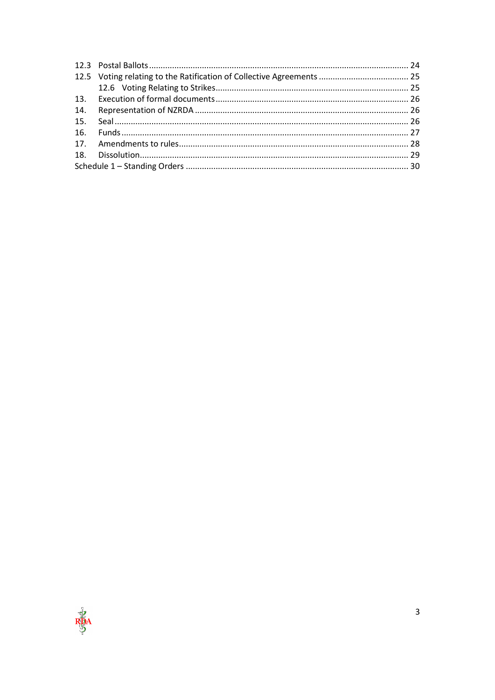| 14. |  |  |  |
|-----|--|--|--|
|     |  |  |  |
|     |  |  |  |
|     |  |  |  |
|     |  |  |  |
|     |  |  |  |
|     |  |  |  |

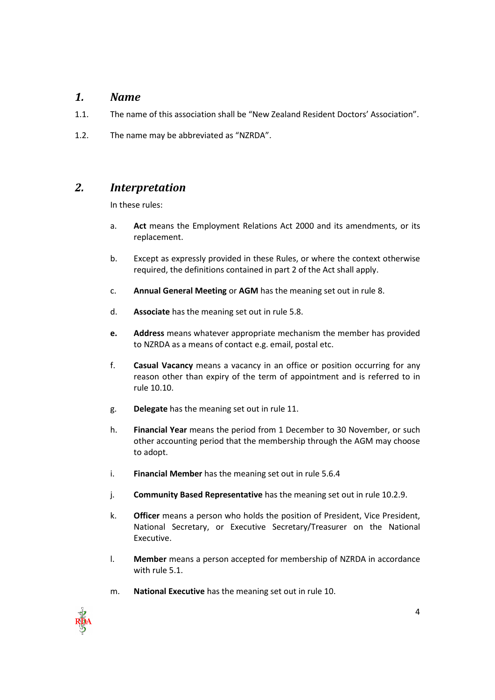### <span id="page-3-0"></span>*1. Name*

- 1.1. The name of this association shall be "New Zealand Resident Doctors' Association".
- <span id="page-3-1"></span>1.2. The name may be abbreviated as "NZRDA".

## *2. Interpretation*

In these rules:

- a. **Act** means the Employment Relations Act 2000 and its amendments, or its replacement.
- b. Except as expressly provided in these Rules, or where the context otherwise required, the definitions contained in part 2 of the Act shall apply.
- c. **Annual General Meeting** or **AGM** has the meaning set out in rule 8.
- d. **Associate** has the meaning set out in rule 5.8.
- **e. Address** means whatever appropriate mechanism the member has provided to NZRDA as a means of contact e.g. email, postal etc.
- f. **Casual Vacancy** means a vacancy in an office or position occurring for any reason other than expiry of the term of appointment and is referred to in rule 10.10.
- g. **Delegate** has the meaning set out in rule 11.
- h. **Financial Year** means the period from 1 December to 30 November, or such other accounting period that the membership through the AGM may choose to adopt.
- i. **Financial Member** has the meaning set out in rule 5.6.4
- j. **Community Based Representative** has the meaning set out in rule 10.2.9.
- k. **Officer** means a person who holds the position of President, Vice President, National Secretary, or Executive Secretary/Treasurer on the National Executive.
- l. **Member** means a person accepted for membership of NZRDA in accordance with rule 5.1.
- m. **National Executive** has the meaning set out in rule 10.

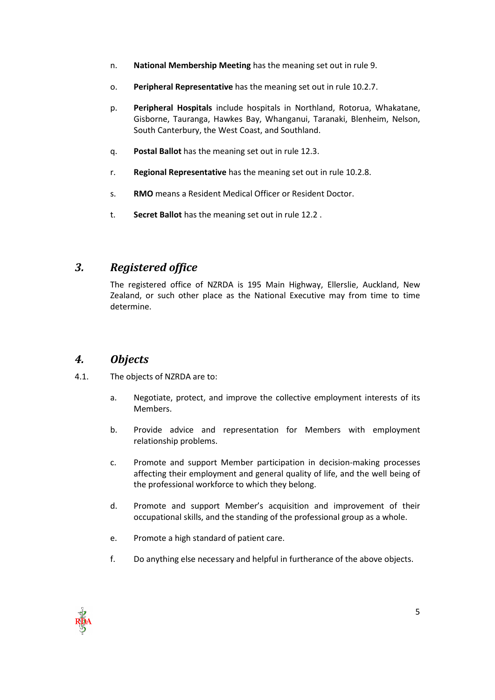- n. **National Membership Meeting** has the meaning set out in rule 9.
- o. **Peripheral Representative** has the meaning set out in rule 10.2.7.
- p. **Peripheral Hospitals** include hospitals in Northland, Rotorua, Whakatane, Gisborne, Tauranga, Hawkes Bay, Whanganui, Taranaki, Blenheim, Nelson, South Canterbury, the West Coast, and Southland.
- q. **Postal Ballot** has the meaning set out in rule 12.3.
- r. **Regional Representative** has the meaning set out in rule 10.2.8.
- s. **RMO** means a Resident Medical Officer or Resident Doctor.
- t. **Secret Ballot** has the meaning set out in rule 12.2 .

## <span id="page-4-0"></span>*3. Registered office*

The registered office of NZRDA is 195 Main Highway, Ellerslie, Auckland, New Zealand, or such other place as the National Executive may from time to time determine.

### <span id="page-4-1"></span>*4. Objects*

- 4.1. The objects of NZRDA are to:
	- a. Negotiate, protect, and improve the collective employment interests of its Members.
	- b. Provide advice and representation for Members with employment relationship problems.
	- c. Promote and support Member participation in decision-making processes affecting their employment and general quality of life, and the well being of the professional workforce to which they belong.
	- d. Promote and support Member's acquisition and improvement of their occupational skills, and the standing of the professional group as a whole.
	- e. Promote a high standard of patient care.
	- f. Do anything else necessary and helpful in furtherance of the above objects.

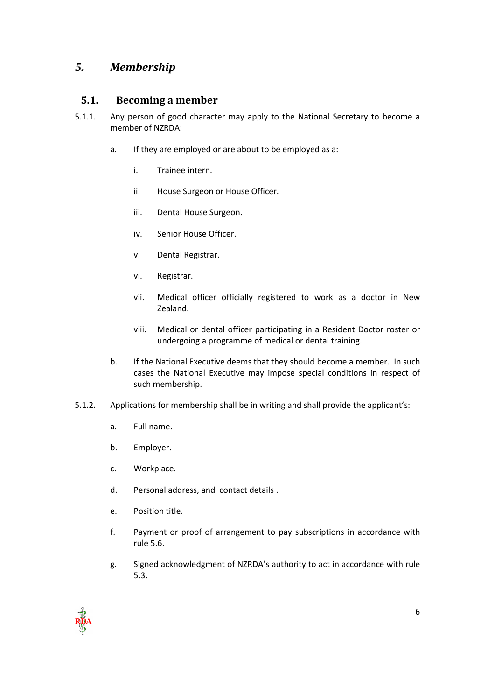## <span id="page-5-1"></span><span id="page-5-0"></span>*5. Membership*

#### **5.1. Becoming a member**

- 5.1.1. Any person of good character may apply to the National Secretary to become a member of NZRDA:
	- a. If they are employed or are about to be employed as a:
		- i. Trainee intern.
		- ii. House Surgeon or House Officer.
		- iii. Dental House Surgeon.
		- iv. Senior House Officer.
		- v. Dental Registrar.
		- vi. Registrar.
		- vii. Medical officer officially registered to work as a doctor in New Zealand.
		- viii. Medical or dental officer participating in a Resident Doctor roster or undergoing a programme of medical or dental training.
	- b. If the National Executive deems that they should become a member. In such cases the National Executive may impose special conditions in respect of such membership.
- 5.1.2. Applications for membership shall be in writing and shall provide the applicant's:
	- a. Full name.
	- b. Employer.
	- c. Workplace.
	- d. Personal address, and contact details .
	- e. Position title.
	- f. Payment or proof of arrangement to pay subscriptions in accordance with rule 5.6.
	- g. Signed acknowledgment of NZRDA's authority to act in accordance with rule 5.3.

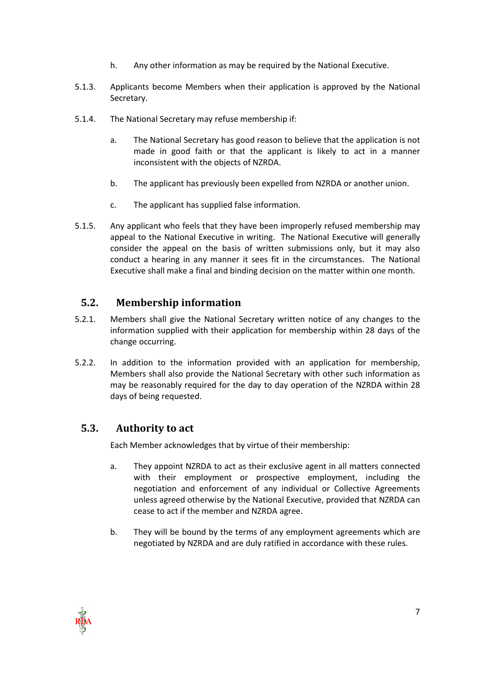- h. Any other information as may be required by the National Executive.
- 5.1.3. Applicants become Members when their application is approved by the National Secretary.
- 5.1.4. The National Secretary may refuse membership if:
	- a. The National Secretary has good reason to believe that the application is not made in good faith or that the applicant is likely to act in a manner inconsistent with the objects of NZRDA.
	- b. The applicant has previously been expelled from NZRDA or another union.
	- c. The applicant has supplied false information.
- 5.1.5. Any applicant who feels that they have been improperly refused membership may appeal to the National Executive in writing. The National Executive will generally consider the appeal on the basis of written submissions only, but it may also conduct a hearing in any manner it sees fit in the circumstances. The National Executive shall make a final and binding decision on the matter within one month.

#### <span id="page-6-0"></span>**5.2. Membership information**

- 5.2.1. Members shall give the National Secretary written notice of any changes to the information supplied with their application for membership within 28 days of the change occurring.
- 5.2.2. In addition to the information provided with an application for membership, Members shall also provide the National Secretary with other such information as may be reasonably required for the day to day operation of the NZRDA within 28 days of being requested.

#### <span id="page-6-1"></span>**5.3. Authority to act**

Each Member acknowledges that by virtue of their membership:

- a. They appoint NZRDA to act as their exclusive agent in all matters connected with their employment or prospective employment, including the negotiation and enforcement of any individual or Collective Agreements unless agreed otherwise by the National Executive, provided that NZRDA can cease to act if the member and NZRDA agree.
- b. They will be bound by the terms of any employment agreements which are negotiated by NZRDA and are duly ratified in accordance with these rules.

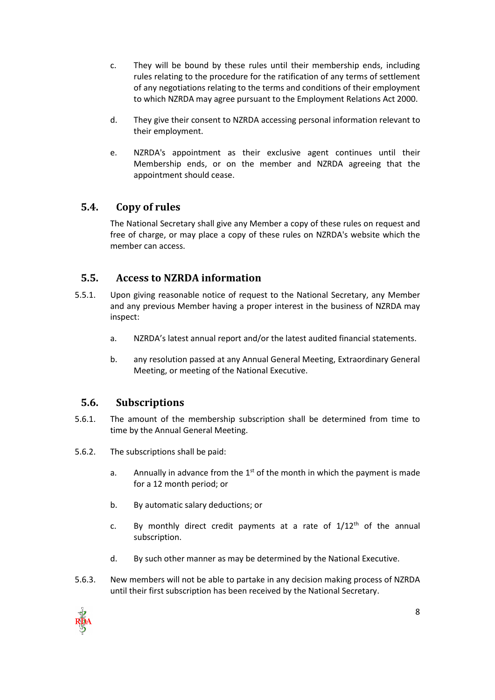- c. They will be bound by these rules until their membership ends, including rules relating to the procedure for the ratification of any terms of settlement of any negotiations relating to the terms and conditions of their employment to which NZRDA may agree pursuant to the Employment Relations Act 2000.
- d. They give their consent to NZRDA accessing personal information relevant to their employment.
- e. NZRDA's appointment as their exclusive agent continues until their Membership ends, or on the member and NZRDA agreeing that the appointment should cease.

#### <span id="page-7-0"></span>**5.4. Copy of rules**

The National Secretary shall give any Member a copy of these rules on request and free of charge, or may place a copy of these rules on NZRDA's website which the member can access.

#### <span id="page-7-1"></span>**5.5. Access to NZRDA information**

- 5.5.1. Upon giving reasonable notice of request to the National Secretary, any Member and any previous Member having a proper interest in the business of NZRDA may inspect:
	- a. NZRDA's latest annual report and/or the latest audited financial statements.
	- b. any resolution passed at any Annual General Meeting, Extraordinary General Meeting, or meeting of the National Executive.

### <span id="page-7-2"></span>**5.6. Subscriptions**

- 5.6.1. The amount of the membership subscription shall be determined from time to time by the Annual General Meeting.
- 5.6.2. The subscriptions shall be paid:
	- a. Annually in advance from the  $1<sup>st</sup>$  of the month in which the payment is made for a 12 month period; or
	- b. By automatic salary deductions; or
	- c. By monthly direct credit payments at a rate of  $1/12<sup>th</sup>$  of the annual subscription.
	- d. By such other manner as may be determined by the National Executive.
- 5.6.3. New members will not be able to partake in any decision making process of NZRDA until their first subscription has been received by the National Secretary.

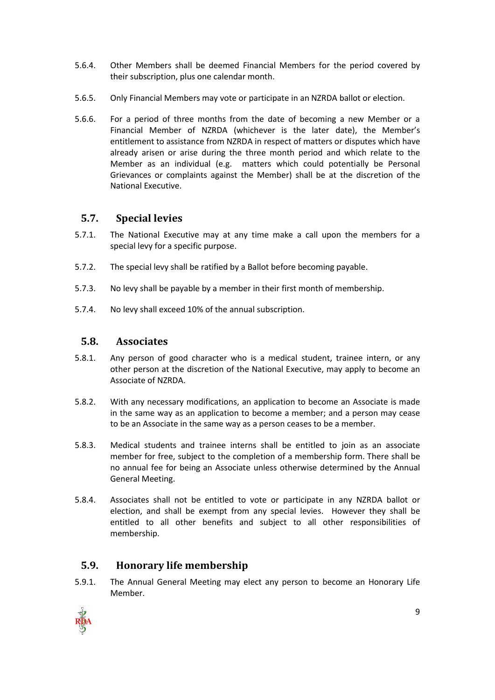- 5.6.4. Other Members shall be deemed Financial Members for the period covered by their subscription, plus one calendar month.
- 5.6.5. Only Financial Members may vote or participate in an NZRDA ballot or election.
- 5.6.6. For a period of three months from the date of becoming a new Member or a Financial Member of NZRDA (whichever is the later date), the Member's entitlement to assistance from NZRDA in respect of matters or disputes which have already arisen or arise during the three month period and which relate to the Member as an individual (e.g. matters which could potentially be Personal Grievances or complaints against the Member) shall be at the discretion of the National Executive.

## <span id="page-8-0"></span>**5.7. Special levies**

- 5.7.1. The National Executive may at any time make a call upon the members for a special levy for a specific purpose.
- 5.7.2. The special levy shall be ratified by a Ballot before becoming payable.
- 5.7.3. No levy shall be payable by a member in their first month of membership.
- 5.7.4. No levy shall exceed 10% of the annual subscription.

#### <span id="page-8-1"></span>**5.8. Associates**

- 5.8.1. Any person of good character who is a medical student, trainee intern, or any other person at the discretion of the National Executive, may apply to become an Associate of NZRDA.
- 5.8.2. With any necessary modifications, an application to become an Associate is made in the same way as an application to become a member; and a person may cease to be an Associate in the same way as a person ceases to be a member.
- 5.8.3. Medical students and trainee interns shall be entitled to join as an associate member for free, subject to the completion of a membership form. There shall be no annual fee for being an Associate unless otherwise determined by the Annual General Meeting.
- 5.8.4. Associates shall not be entitled to vote or participate in any NZRDA ballot or election, and shall be exempt from any special levies. However they shall be entitled to all other benefits and subject to all other responsibilities of membership.

## <span id="page-8-2"></span>**5.9. Honorary life membership**

5.9.1. The Annual General Meeting may elect any person to become an Honorary Life Member.

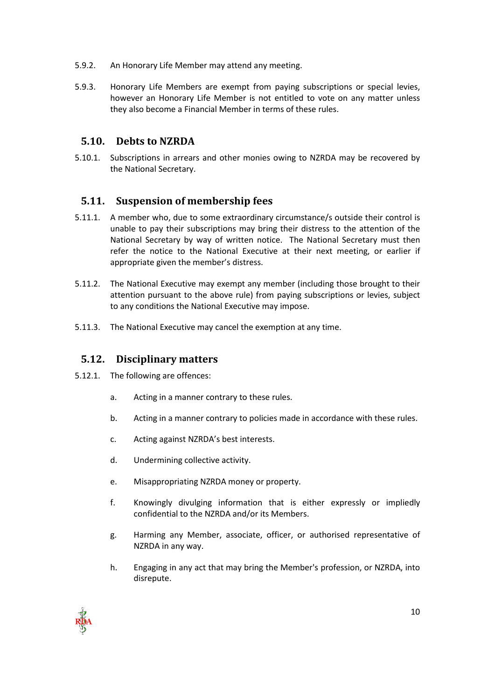- 5.9.2. An Honorary Life Member may attend any meeting.
- 5.9.3. Honorary Life Members are exempt from paying subscriptions or special levies, however an Honorary Life Member is not entitled to vote on any matter unless they also become a Financial Member in terms of these rules.

#### <span id="page-9-0"></span>**5.10. Debts to NZRDA**

5.10.1. Subscriptions in arrears and other monies owing to NZRDA may be recovered by the National Secretary.

#### <span id="page-9-1"></span>**5.11. Suspension of membership fees**

- 5.11.1. A member who, due to some extraordinary circumstance/s outside their control is unable to pay their subscriptions may bring their distress to the attention of the National Secretary by way of written notice. The National Secretary must then refer the notice to the National Executive at their next meeting, or earlier if appropriate given the member's distress.
- 5.11.2. The National Executive may exempt any member (including those brought to their attention pursuant to the above rule) from paying subscriptions or levies, subject to any conditions the National Executive may impose.
- 5.11.3. The National Executive may cancel the exemption at any time.

#### <span id="page-9-2"></span>**5.12. Disciplinary matters**

- 5.12.1. The following are offences:
	- a. Acting in a manner contrary to these rules.
	- b. Acting in a manner contrary to policies made in accordance with these rules.
	- c. Acting against NZRDA's best interests.
	- d. Undermining collective activity.
	- e. Misappropriating NZRDA money or property.
	- f. Knowingly divulging information that is either expressly or impliedly confidential to the NZRDA and/or its Members.
	- g. Harming any Member, associate, officer, or authorised representative of NZRDA in any way.
	- h. Engaging in any act that may bring the Member's profession, or NZRDA, into disrepute.

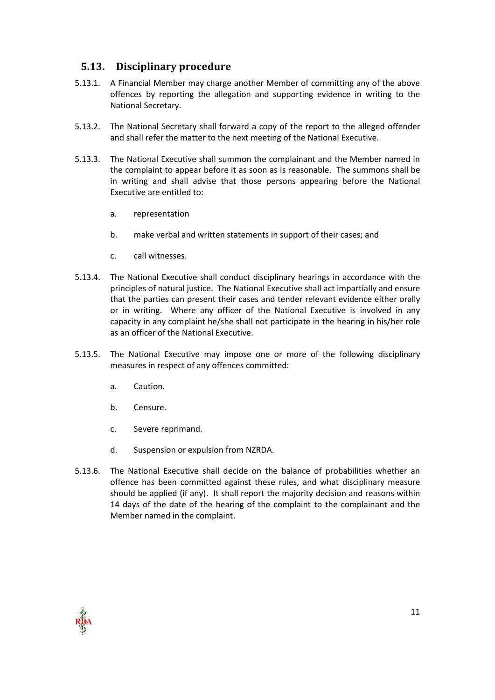## <span id="page-10-0"></span>**5.13. Disciplinary procedure**

- 5.13.1. A Financial Member may charge another Member of committing any of the above offences by reporting the allegation and supporting evidence in writing to the National Secretary.
- 5.13.2. The National Secretary shall forward a copy of the report to the alleged offender and shall refer the matter to the next meeting of the National Executive.
- 5.13.3. The National Executive shall summon the complainant and the Member named in the complaint to appear before it as soon as is reasonable. The summons shall be in writing and shall advise that those persons appearing before the National Executive are entitled to:
	- a. representation
	- b. make verbal and written statements in support of their cases; and
	- c. call witnesses.
- 5.13.4. The National Executive shall conduct disciplinary hearings in accordance with the principles of natural justice. The National Executive shall act impartially and ensure that the parties can present their cases and tender relevant evidence either orally or in writing. Where any officer of the National Executive is involved in any capacity in any complaint he/she shall not participate in the hearing in his/her role as an officer of the National Executive.
- 5.13.5. The National Executive may impose one or more of the following disciplinary measures in respect of any offences committed:
	- a. Caution.
	- b. Censure.
	- c. Severe reprimand.
	- d. Suspension or expulsion from NZRDA.
- 5.13.6. The National Executive shall decide on the balance of probabilities whether an offence has been committed against these rules, and what disciplinary measure should be applied (if any). It shall report the majority decision and reasons within 14 days of the date of the hearing of the complaint to the complainant and the Member named in the complaint.

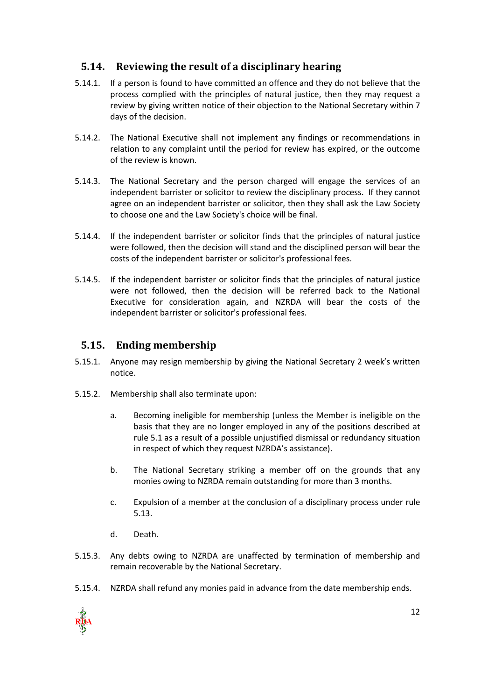## <span id="page-11-0"></span>**5.14. Reviewing the result of a disciplinary hearing**

- 5.14.1. If a person is found to have committed an offence and they do not believe that the process complied with the principles of natural justice, then they may request a review by giving written notice of their objection to the National Secretary within 7 days of the decision.
- 5.14.2. The National Executive shall not implement any findings or recommendations in relation to any complaint until the period for review has expired, or the outcome of the review is known.
- 5.14.3. The National Secretary and the person charged will engage the services of an independent barrister or solicitor to review the disciplinary process. If they cannot agree on an independent barrister or solicitor, then they shall ask the Law Society to choose one and the Law Society's choice will be final.
- 5.14.4. If the independent barrister or solicitor finds that the principles of natural justice were followed, then the decision will stand and the disciplined person will bear the costs of the independent barrister or solicitor's professional fees.
- 5.14.5. If the independent barrister or solicitor finds that the principles of natural justice were not followed, then the decision will be referred back to the National Executive for consideration again, and NZRDA will bear the costs of the independent barrister or solicitor's professional fees.

## <span id="page-11-1"></span>**5.15. Ending membership**

- 5.15.1. Anyone may resign membership by giving the National Secretary 2 week's written notice.
- 5.15.2. Membership shall also terminate upon:
	- a. Becoming ineligible for membership (unless the Member is ineligible on the basis that they are no longer employed in any of the positions described at rule 5.1 as a result of a possible unjustified dismissal or redundancy situation in respect of which they request NZRDA's assistance).
	- b. The National Secretary striking a member off on the grounds that any monies owing to NZRDA remain outstanding for more than 3 months.
	- c. Expulsion of a member at the conclusion of a disciplinary process under rule 5.13.
	- d. Death.
- 5.15.3. Any debts owing to NZRDA are unaffected by termination of membership and remain recoverable by the National Secretary.
- 5.15.4. NZRDA shall refund any monies paid in advance from the date membership ends.

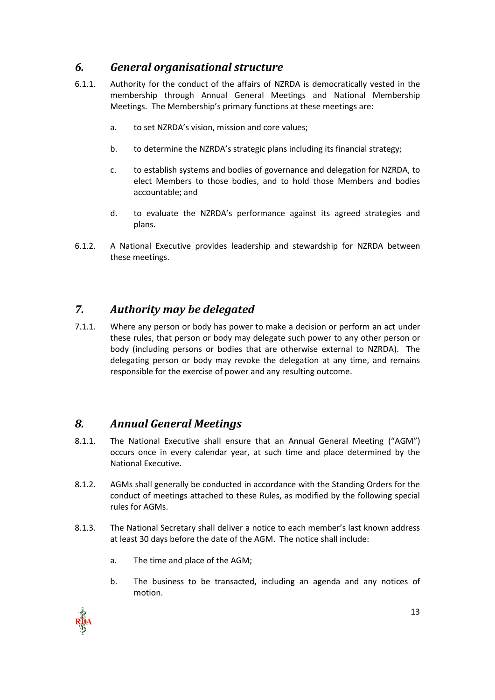## <span id="page-12-0"></span>*6. General organisational structure*

- 6.1.1. Authority for the conduct of the affairs of NZRDA is democratically vested in the membership through Annual General Meetings and National Membership Meetings. The Membership's primary functions at these meetings are:
	- a. to set NZRDA's vision, mission and core values;
	- b. to determine the NZRDA's strategic plans including its financial strategy;
	- c. to establish systems and bodies of governance and delegation for NZRDA, to elect Members to those bodies, and to hold those Members and bodies accountable; and
	- d. to evaluate the NZRDA's performance against its agreed strategies and plans.
- 6.1.2. A National Executive provides leadership and stewardship for NZRDA between these meetings.

## <span id="page-12-1"></span>*7. Authority may be delegated*

7.1.1. Where any person or body has power to make a decision or perform an act under these rules, that person or body may delegate such power to any other person or body (including persons or bodies that are otherwise external to NZRDA). The delegating person or body may revoke the delegation at any time, and remains responsible for the exercise of power and any resulting outcome.

## <span id="page-12-2"></span>*8. Annual General Meetings*

- 8.1.1. The National Executive shall ensure that an Annual General Meeting ("AGM") occurs once in every calendar year, at such time and place determined by the National Executive.
- 8.1.2. AGMs shall generally be conducted in accordance with the Standing Orders for the conduct of meetings attached to these Rules, as modified by the following special rules for AGMs.
- 8.1.3. The National Secretary shall deliver a notice to each member's last known address at least 30 days before the date of the AGM. The notice shall include:
	- a. The time and place of the AGM;
	- b. The business to be transacted, including an agenda and any notices of motion.

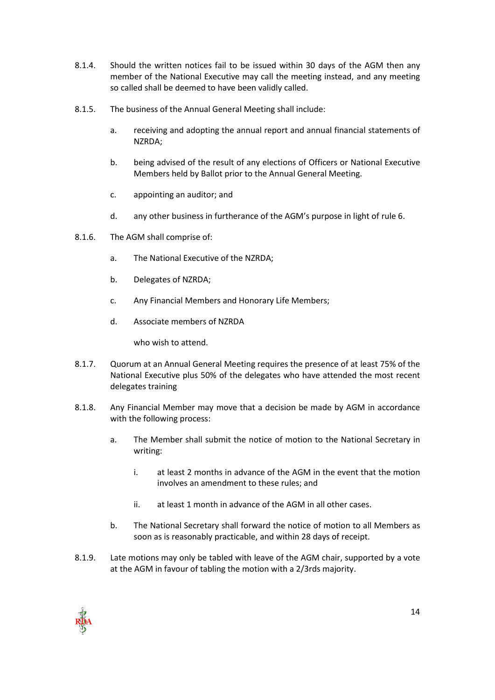- 8.1.4. Should the written notices fail to be issued within 30 days of the AGM then any member of the National Executive may call the meeting instead, and any meeting so called shall be deemed to have been validly called.
- 8.1.5. The business of the Annual General Meeting shall include:
	- a. receiving and adopting the annual report and annual financial statements of NZRDA;
	- b. being advised of the result of any elections of Officers or National Executive Members held by Ballot prior to the Annual General Meeting.
	- c. appointing an auditor; and
	- d. any other business in furtherance of the AGM's purpose in light of rule 6.
- 8.1.6. The AGM shall comprise of:
	- a. The National Executive of the NZRDA;
	- b. Delegates of NZRDA;
	- c. Any Financial Members and Honorary Life Members;
	- d. Associate members of NZRDA

who wish to attend.

- 8.1.7. Quorum at an Annual General Meeting requires the presence of at least 75% of the National Executive plus 50% of the delegates who have attended the most recent delegates training
- 8.1.8. Any Financial Member may move that a decision be made by AGM in accordance with the following process:
	- a. The Member shall submit the notice of motion to the National Secretary in writing:
		- i. at least 2 months in advance of the AGM in the event that the motion involves an amendment to these rules; and
		- ii. at least 1 month in advance of the AGM in all other cases.
	- b. The National Secretary shall forward the notice of motion to all Members as soon as is reasonably practicable, and within 28 days of receipt.
- 8.1.9. Late motions may only be tabled with leave of the AGM chair, supported by a vote at the AGM in favour of tabling the motion with a 2/3rds majority.

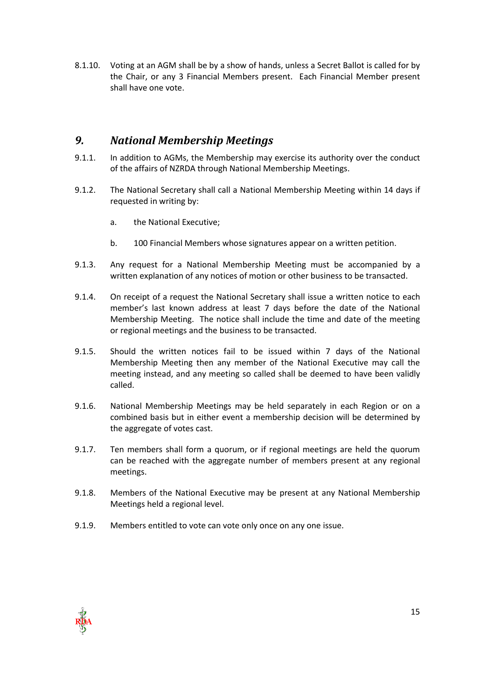8.1.10. Voting at an AGM shall be by a show of hands, unless a Secret Ballot is called for by the Chair, or any 3 Financial Members present. Each Financial Member present shall have one vote.

## <span id="page-14-0"></span>*9. National Membership Meetings*

- 9.1.1. In addition to AGMs, the Membership may exercise its authority over the conduct of the affairs of NZRDA through National Membership Meetings.
- 9.1.2. The National Secretary shall call a National Membership Meeting within 14 days if requested in writing by:
	- a. the National Executive;
	- b. 100 Financial Members whose signatures appear on a written petition.
- 9.1.3. Any request for a National Membership Meeting must be accompanied by a written explanation of any notices of motion or other business to be transacted.
- 9.1.4. On receipt of a request the National Secretary shall issue a written notice to each member's last known address at least 7 days before the date of the National Membership Meeting. The notice shall include the time and date of the meeting or regional meetings and the business to be transacted.
- 9.1.5. Should the written notices fail to be issued within 7 days of the National Membership Meeting then any member of the National Executive may call the meeting instead, and any meeting so called shall be deemed to have been validly called.
- 9.1.6. National Membership Meetings may be held separately in each Region or on a combined basis but in either event a membership decision will be determined by the aggregate of votes cast.
- 9.1.7. Ten members shall form a quorum, or if regional meetings are held the quorum can be reached with the aggregate number of members present at any regional meetings.
- 9.1.8. Members of the National Executive may be present at any National Membership Meetings held a regional level.
- 9.1.9. Members entitled to vote can vote only once on any one issue.

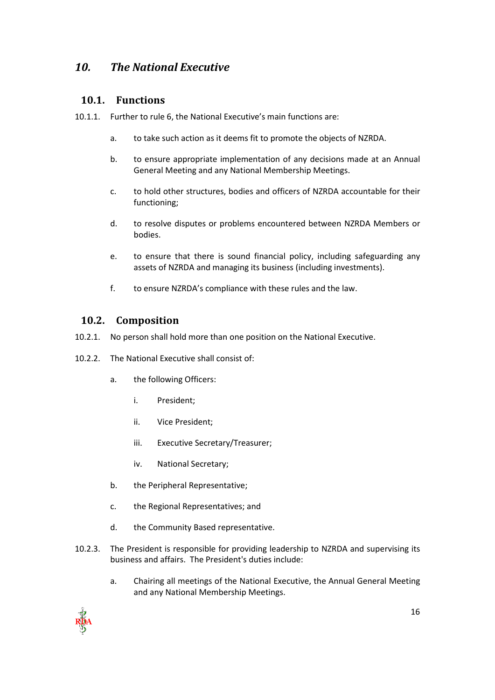## <span id="page-15-1"></span><span id="page-15-0"></span>*10. The National Executive*

#### **10.1. Functions**

- 10.1.1. Further to rule 6, the National Executive's main functions are:
	- a. to take such action as it deems fit to promote the objects of NZRDA.
	- b. to ensure appropriate implementation of any decisions made at an Annual General Meeting and any National Membership Meetings.
	- c. to hold other structures, bodies and officers of NZRDA accountable for their functioning;
	- d. to resolve disputes or problems encountered between NZRDA Members or bodies.
	- e. to ensure that there is sound financial policy, including safeguarding any assets of NZRDA and managing its business (including investments).
	- f. to ensure NZRDA's compliance with these rules and the law.

### <span id="page-15-2"></span>**10.2. Composition**

- 10.2.1. No person shall hold more than one position on the National Executive.
- 10.2.2. The National Executive shall consist of:
	- a. the following Officers:
		- i. President;
		- ii. Vice President;
		- iii. Executive Secretary/Treasurer;
		- iv. National Secretary;
	- b. the Peripheral Representative;
	- c. the Regional Representatives; and
	- d. the Community Based representative.
- 10.2.3. The President is responsible for providing leadership to NZRDA and supervising its business and affairs. The President's duties include:
	- a. Chairing all meetings of the National Executive, the Annual General Meeting and any National Membership Meetings.

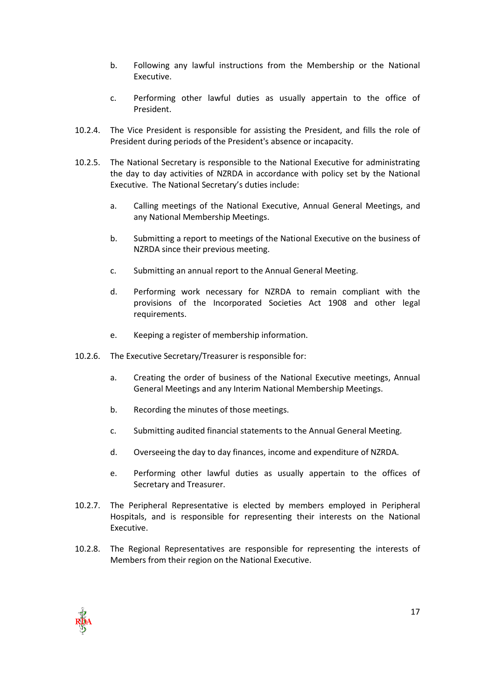- b. Following any lawful instructions from the Membership or the National Executive.
- c. Performing other lawful duties as usually appertain to the office of President.
- 10.2.4. The Vice President is responsible for assisting the President, and fills the role of President during periods of the President's absence or incapacity.
- 10.2.5. The National Secretary is responsible to the National Executive for administrating the day to day activities of NZRDA in accordance with policy set by the National Executive. The National Secretary's duties include:
	- a. Calling meetings of the National Executive, Annual General Meetings, and any National Membership Meetings.
	- b. Submitting a report to meetings of the National Executive on the business of NZRDA since their previous meeting.
	- c. Submitting an annual report to the Annual General Meeting.
	- d. Performing work necessary for NZRDA to remain compliant with the provisions of the Incorporated Societies Act 1908 and other legal requirements.
	- e. Keeping a register of membership information.
- 10.2.6. The Executive Secretary/Treasurer is responsible for:
	- a. Creating the order of business of the National Executive meetings, Annual General Meetings and any Interim National Membership Meetings.
	- b. Recording the minutes of those meetings.
	- c. Submitting audited financial statements to the Annual General Meeting.
	- d. Overseeing the day to day finances, income and expenditure of NZRDA.
	- e. Performing other lawful duties as usually appertain to the offices of Secretary and Treasurer.
- 10.2.7. The Peripheral Representative is elected by members employed in Peripheral Hospitals, and is responsible for representing their interests on the National Executive.
- 10.2.8. The Regional Representatives are responsible for representing the interests of Members from their region on the National Executive.

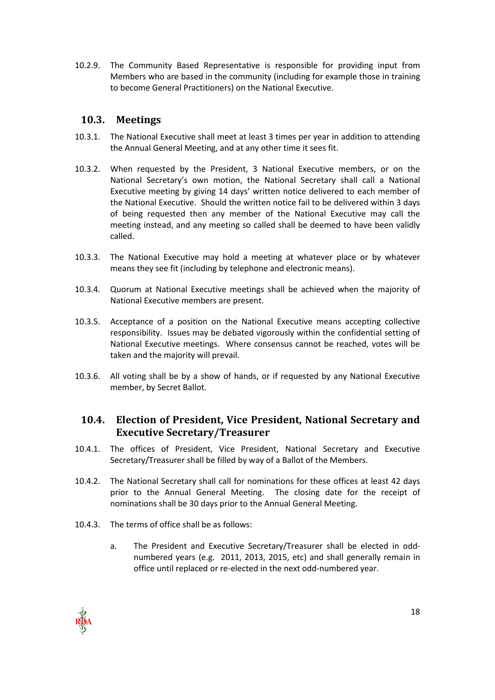10.2.9. The Community Based Representative is responsible for providing input from Members who are based in the community (including for example those in training to become General Practitioners) on the National Executive.

#### <span id="page-17-0"></span>**10.3. Meetings**

- 10.3.1. The National Executive shall meet at least 3 times per year in addition to attending the Annual General Meeting, and at any other time it sees fit.
- 10.3.2. When requested by the President, 3 National Executive members, or on the National Secretary's own motion, the National Secretary shall call a National Executive meeting by giving 14 days' written notice delivered to each member of the National Executive. Should the written notice fail to be delivered within 3 days of being requested then any member of the National Executive may call the meeting instead, and any meeting so called shall be deemed to have been validly called.
- 10.3.3. The National Executive may hold a meeting at whatever place or by whatever means they see fit (including by telephone and electronic means).
- 10.3.4. Quorum at National Executive meetings shall be achieved when the majority of National Executive members are present.
- 10.3.5. Acceptance of a position on the National Executive means accepting collective responsibility. Issues may be debated vigorously within the confidential setting of National Executive meetings. Where consensus cannot be reached, votes will be taken and the majority will prevail.
- 10.3.6. All voting shall be by a show of hands, or if requested by any National Executive member, by Secret Ballot.

### <span id="page-17-1"></span>**10.4. Election of President, Vice President, National Secretary and Executive Secretary/Treasurer**

- 10.4.1. The offices of President, Vice President, National Secretary and Executive Secretary/Treasurer shall be filled by way of a Ballot of the Members.
- 10.4.2. The National Secretary shall call for nominations for these offices at least 42 days prior to the Annual General Meeting. The closing date for the receipt of nominations shall be 30 days prior to the Annual General Meeting.
- 10.4.3. The terms of office shall be as follows:
	- a. The President and Executive Secretary/Treasurer shall be elected in oddnumbered years (e.g. 2011, 2013, 2015, etc) and shall generally remain in office until replaced or re-elected in the next odd-numbered year.

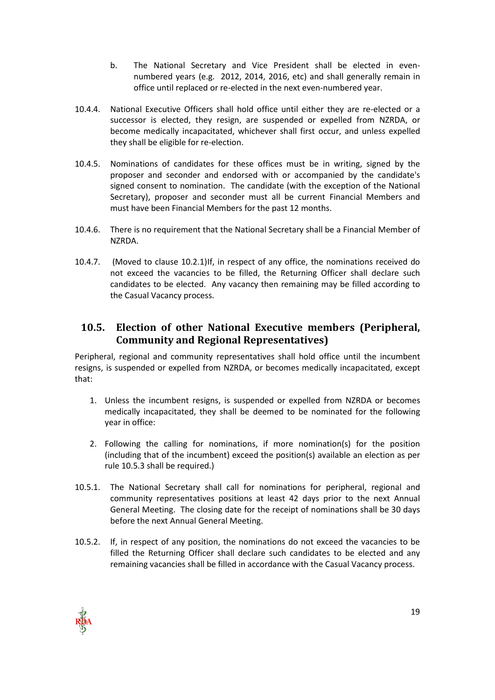- b. The National Secretary and Vice President shall be elected in evennumbered years (e.g. 2012, 2014, 2016, etc) and shall generally remain in office until replaced or re-elected in the next even-numbered year.
- 10.4.4. National Executive Officers shall hold office until either they are re-elected or a successor is elected, they resign, are suspended or expelled from NZRDA, or become medically incapacitated, whichever shall first occur, and unless expelled they shall be eligible for re-election.
- 10.4.5. Nominations of candidates for these offices must be in writing, signed by the proposer and seconder and endorsed with or accompanied by the candidate's signed consent to nomination. The candidate (with the exception of the National Secretary), proposer and seconder must all be current Financial Members and must have been Financial Members for the past 12 months.
- 10.4.6. There is no requirement that the National Secretary shall be a Financial Member of NZRDA.
- 10.4.7. (Moved to clause 10.2.1)If, in respect of any office, the nominations received do not exceed the vacancies to be filled, the Returning Officer shall declare such candidates to be elected. Any vacancy then remaining may be filled according to the Casual Vacancy process.

## <span id="page-18-0"></span>**10.5. Election of other National Executive members (Peripheral, Community and Regional Representatives)**

Peripheral, regional and community representatives shall hold office until the incumbent resigns, is suspended or expelled from NZRDA, or becomes medically incapacitated, except that:

- 1. Unless the incumbent resigns, is suspended or expelled from NZRDA or becomes medically incapacitated, they shall be deemed to be nominated for the following year in office:
- 2. Following the calling for nominations, if more nomination(s) for the position (including that of the incumbent) exceed the position(s) available an election as per rule 10.5.3 shall be required.)
- 10.5.1. The National Secretary shall call for nominations for peripheral, regional and community representatives positions at least 42 days prior to the next Annual General Meeting. The closing date for the receipt of nominations shall be 30 days before the next Annual General Meeting.
- 10.5.2. If, in respect of any position, the nominations do not exceed the vacancies to be filled the Returning Officer shall declare such candidates to be elected and any remaining vacancies shall be filled in accordance with the Casual Vacancy process.

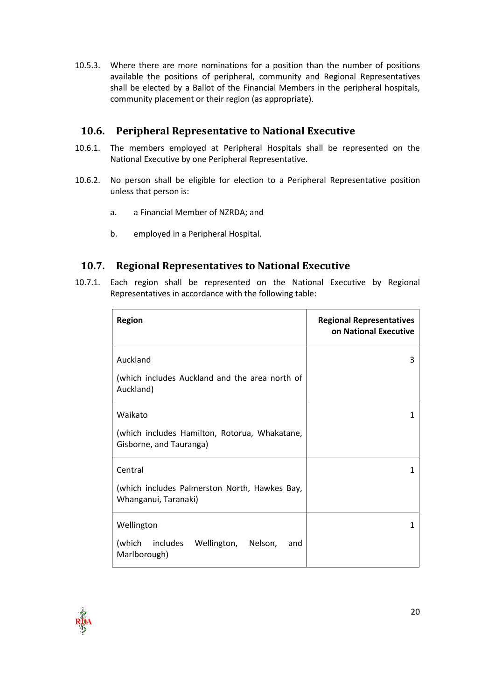10.5.3. Where there are more nominations for a position than the number of positions available the positions of peripheral, community and Regional Representatives shall be elected by a Ballot of the Financial Members in the peripheral hospitals, community placement or their region (as appropriate).

## <span id="page-19-0"></span>**10.6. Peripheral Representative to National Executive**

- 10.6.1. The members employed at Peripheral Hospitals shall be represented on the National Executive by one Peripheral Representative.
- 10.6.2. No person shall be eligible for election to a Peripheral Representative position unless that person is:
	- a. a Financial Member of NZRDA; and
	- b. employed in a Peripheral Hospital.

### <span id="page-19-1"></span>**10.7. Regional Representatives to National Executive**

10.7.1. Each region shall be represented on the National Executive by Regional Representatives in accordance with the following table:

| <b>Region</b>                                                                       | <b>Regional Representatives</b><br><b>on National Executive</b> |
|-------------------------------------------------------------------------------------|-----------------------------------------------------------------|
| Auckland<br>(which includes Auckland and the area north of<br>Auckland)             | 3                                                               |
| Waikato<br>(which includes Hamilton, Rotorua, Whakatane,<br>Gisborne, and Tauranga) | 1                                                               |
| Central<br>(which includes Palmerston North, Hawkes Bay,<br>Whanganui, Taranaki)    | 1                                                               |
| Wellington<br>(which<br>includes Wellington, Nelson,<br>and<br>Marlborough)         | 1                                                               |

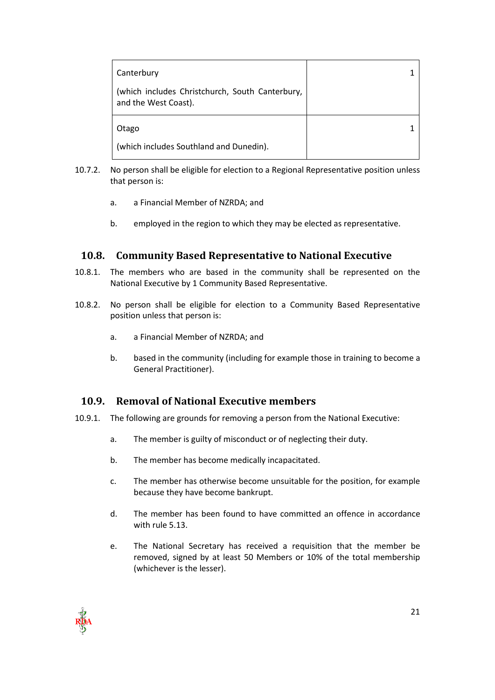| Canterbury                                                              |  |
|-------------------------------------------------------------------------|--|
| (which includes Christchurch, South Canterbury,<br>and the West Coast). |  |
| Otago                                                                   |  |
| (which includes Southland and Dunedin).                                 |  |

- 10.7.2. No person shall be eligible for election to a Regional Representative position unless that person is:
	- a. a Financial Member of NZRDA; and
	- b. employed in the region to which they may be elected as representative.

#### <span id="page-20-0"></span>**10.8. Community Based Representative to National Executive**

- 10.8.1. The members who are based in the community shall be represented on the National Executive by 1 Community Based Representative.
- 10.8.2. No person shall be eligible for election to a Community Based Representative position unless that person is:
	- a. a Financial Member of NZRDA; and
	- b. based in the community (including for example those in training to become a General Practitioner).

### <span id="page-20-1"></span>**10.9. Removal of National Executive members**

- 10.9.1. The following are grounds for removing a person from the National Executive:
	- a. The member is guilty of misconduct or of neglecting their duty.
	- b. The member has become medically incapacitated.
	- c. The member has otherwise become unsuitable for the position, for example because they have become bankrupt.
	- d. The member has been found to have committed an offence in accordance with rule 5.13.
	- e. The National Secretary has received a requisition that the member be removed, signed by at least 50 Members or 10% of the total membership (whichever is the lesser).

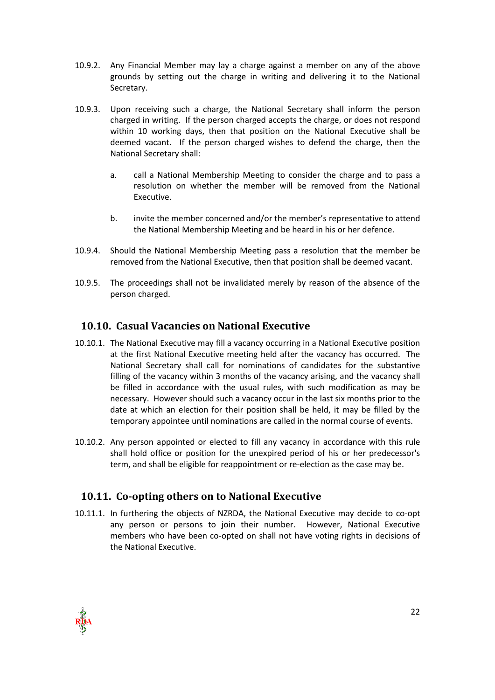- 10.9.2. Any Financial Member may lay a charge against a member on any of the above grounds by setting out the charge in writing and delivering it to the National Secretary.
- 10.9.3. Upon receiving such a charge, the National Secretary shall inform the person charged in writing. If the person charged accepts the charge, or does not respond within 10 working days, then that position on the National Executive shall be deemed vacant. If the person charged wishes to defend the charge, then the National Secretary shall:
	- a. call a National Membership Meeting to consider the charge and to pass a resolution on whether the member will be removed from the National Executive.
	- b. invite the member concerned and/or the member's representative to attend the National Membership Meeting and be heard in his or her defence.
- 10.9.4. Should the National Membership Meeting pass a resolution that the member be removed from the National Executive, then that position shall be deemed vacant.
- 10.9.5. The proceedings shall not be invalidated merely by reason of the absence of the person charged.

## <span id="page-21-0"></span>**10.10. Casual Vacancies on National Executive**

- 10.10.1. The National Executive may fill a vacancy occurring in a National Executive position at the first National Executive meeting held after the vacancy has occurred. The National Secretary shall call for nominations of candidates for the substantive filling of the vacancy within 3 months of the vacancy arising, and the vacancy shall be filled in accordance with the usual rules, with such modification as may be necessary. However should such a vacancy occur in the last six months prior to the date at which an election for their position shall be held, it may be filled by the temporary appointee until nominations are called in the normal course of events.
- 10.10.2. Any person appointed or elected to fill any vacancy in accordance with this rule shall hold office or position for the unexpired period of his or her predecessor's term, and shall be eligible for reappointment or re-election as the case may be.

### <span id="page-21-1"></span>**10.11. Co-opting others on to National Executive**

10.11.1. In furthering the objects of NZRDA, the National Executive may decide to co-opt any person or persons to join their number. However, National Executive members who have been co-opted on shall not have voting rights in decisions of the National Executive.

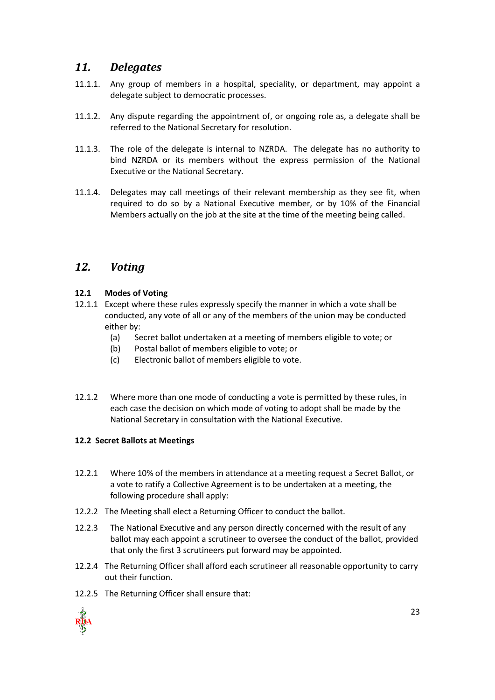## <span id="page-22-0"></span>*11. Delegates*

- 11.1.1. Any group of members in a hospital, speciality, or department, may appoint a delegate subject to democratic processes.
- 11.1.2. Any dispute regarding the appointment of, or ongoing role as, a delegate shall be referred to the National Secretary for resolution.
- 11.1.3. The role of the delegate is internal to NZRDA. The delegate has no authority to bind NZRDA or its members without the express permission of the National Executive or the National Secretary.
- 11.1.4. Delegates may call meetings of their relevant membership as they see fit, when required to do so by a National Executive member, or by 10% of the Financial Members actually on the job at the site at the time of the meeting being called.

## <span id="page-22-1"></span>*12. Voting*

#### **12.1 Modes of Voting**

- 12.1.1 Except where these rules expressly specify the manner in which a vote shall be conducted, any vote of all or any of the members of the union may be conducted either by:
	- (a) Secret ballot undertaken at a meeting of members eligible to vote; or
	- (b) Postal ballot of members eligible to vote; or
	- (c) Electronic ballot of members eligible to vote.
- <span id="page-22-2"></span>12.1.2 Where more than one mode of conducting a vote is permitted by these rules, in each case the decision on which mode of voting to adopt shall be made by the National Secretary in consultation with the National Executive*.*

#### <span id="page-22-3"></span>**12.2 Secret Ballots at Meetings**

- 12.2.1 Where 10% of the members in attendance at a meeting request a Secret Ballot, or a vote to ratify a Collective Agreement is to be undertaken at a meeting, the following procedure shall apply:
- 12.2.2 The Meeting shall elect a Returning Officer to conduct the ballot.
- 12.2.3 The National Executive and any person directly concerned with the result of any ballot may each appoint a scrutineer to oversee the conduct of the ballot, provided that only the first 3 scrutineers put forward may be appointed.
- 12.2.4 The Returning Officer shall afford each scrutineer all reasonable opportunity to carry out their function.
- 12.2.5 The Returning Officer shall ensure that:

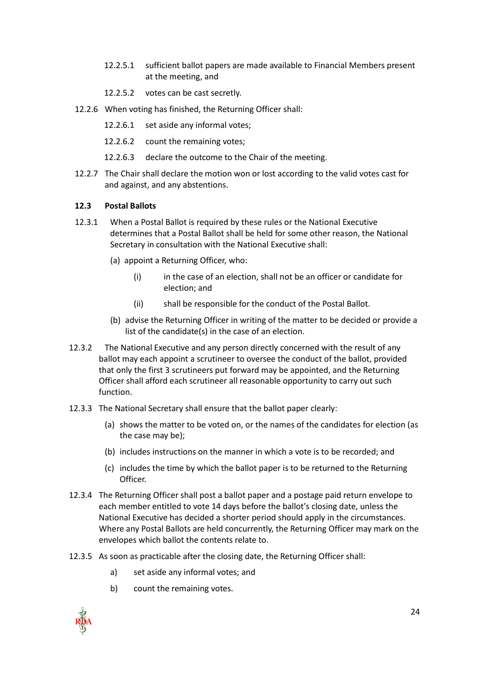- 12.2.5.1 sufficient ballot papers are made available to Financial Members present at the meeting, and
- 12.2.5.2 votes can be cast secretly.
- 12.2.6 When voting has finished, the Returning Officer shall:
	- 12.2.6.1 set aside any informal votes;
	- 12.2.6.2 count the remaining votes;
	- 12.2.6.3 declare the outcome to the Chair of the meeting.
- 12.2.7 The Chair shall declare the motion won or lost according to the valid votes cast for and against, and any abstentions.

#### <span id="page-23-0"></span>**12.3 Postal Ballots**

- 12.3.1 When a Postal Ballot is required by these rules or the National Executive determines that a Postal Ballot shall be held for some other reason, the National Secretary in consultation with the National Executive shall:
	- (a) appoint a Returning Officer, who:
		- (i) in the case of an election, shall not be an officer or candidate for election; and
		- (ii) shall be responsible for the conduct of the Postal Ballot.
	- (b) advise the Returning Officer in writing of the matter to be decided or provide a list of the candidate(s) in the case of an election.
- 12.3.2 The National Executive and any person directly concerned with the result of any ballot may each appoint a scrutineer to oversee the conduct of the ballot, provided that only the first 3 scrutineers put forward may be appointed, and the Returning Officer shall afford each scrutineer all reasonable opportunity to carry out such function.
- 12.3.3 The National Secretary shall ensure that the ballot paper clearly:
	- (a) shows the matter to be voted on, or the names of the candidates for election (as the case may be);
	- (b) includes instructions on the manner in which a vote is to be recorded; and
	- (c) includes the time by which the ballot paper is to be returned to the Returning Officer.
- 12.3.4 The Returning Officer shall post a ballot paper and a postage paid return envelope to each member entitled to vote 14 days before the ballot's closing date, unless the National Executive has decided a shorter period should apply in the circumstances. Where any Postal Ballots are held concurrently, the Returning Officer may mark on the envelopes which ballot the contents relate to.
- 12.3.5 As soon as practicable after the closing date, the Returning Officer shall:
	- a) set aside any informal votes; and
	- b) count the remaining votes.

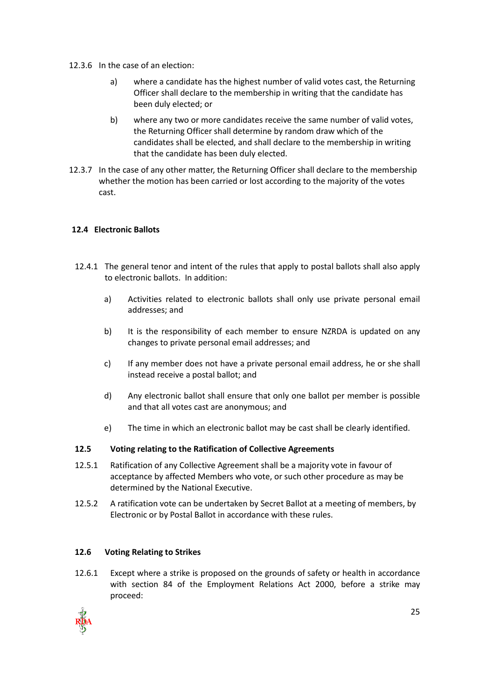- 12.3.6 In the case of an election:
	- a) where a candidate has the highest number of valid votes cast, the Returning Officer shall declare to the membership in writing that the candidate has been duly elected; or
	- b) where any two or more candidates receive the same number of valid votes, the Returning Officer shall determine by random draw which of the candidates shall be elected, and shall declare to the membership in writing that the candidate has been duly elected.
- 12.3.7 In the case of any other matter, the Returning Officer shall declare to the membership whether the motion has been carried or lost according to the majority of the votes cast.

#### **12.4 Electronic Ballots**

- 12.4.1 The general tenor and intent of the rules that apply to postal ballots shall also apply to electronic ballots. In addition:
	- a) Activities related to electronic ballots shall only use private personal email addresses; and
	- b) It is the responsibility of each member to ensure NZRDA is updated on any changes to private personal email addresses; and
	- c) If any member does not have a private personal email address, he or she shall instead receive a postal ballot; and
	- d) Any electronic ballot shall ensure that only one ballot per member is possible and that all votes cast are anonymous; and
	- e) The time in which an electronic ballot may be cast shall be clearly identified.

#### <span id="page-24-0"></span>**12.5 Voting relating to the Ratification of Collective Agreements**

- 12.5.1 Ratification of any Collective Agreement shall be a majority vote in favour of acceptance by affected Members who vote, or such other procedure as may be determined by the National Executive.
- 12.5.2 A ratification vote can be undertaken by Secret Ballot at a meeting of members, by Electronic or by Postal Ballot in accordance with these rules.

#### <span id="page-24-1"></span>**12.6 Voting Relating to Strikes**

12.6.1 Except where a strike is proposed on the grounds of safety or health in accordance with section 84 of the Employment Relations Act 2000, before a strike may proceed:

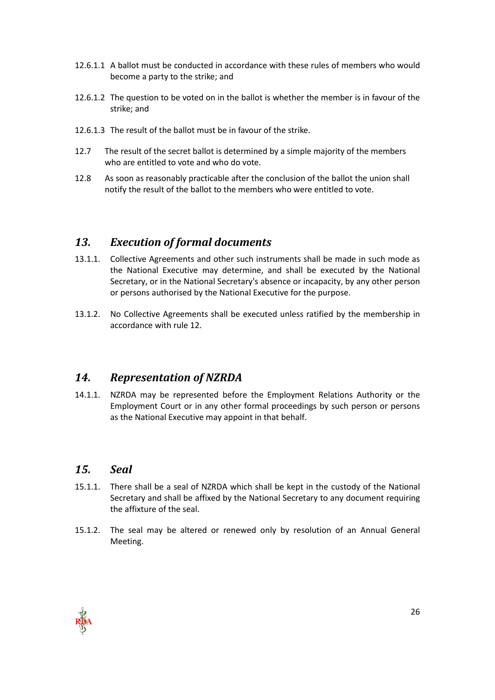- 12.6.1.1 A ballot must be conducted in accordance with these rules of members who would become a party to the strike; and
- 12.6.1.2 The question to be voted on in the ballot is whether the member is in favour of the strike; and
- 12.6.1.3 The result of the ballot must be in favour of the strike.
- 12.7 The result of the secret ballot is determined by a simple majority of the members who are entitled to vote and who do vote.
- <span id="page-25-0"></span>12.8 As soon as reasonably practicable after the conclusion of the ballot the union shall notify the result of the ballot to the members who were entitled to vote.

## *13. Execution of formal documents*

- 13.1.1. Collective Agreements and other such instruments shall be made in such mode as the National Executive may determine, and shall be executed by the National Secretary, or in the National Secretary's absence or incapacity, by any other person or persons authorised by the National Executive for the purpose.
- 13.1.2. No Collective Agreements shall be executed unless ratified by the membership in accordance with rule 12.

### <span id="page-25-1"></span>*14. Representation of NZRDA*

14.1.1. NZRDA may be represented before the Employment Relations Authority or the Employment Court or in any other formal proceedings by such person or persons as the National Executive may appoint in that behalf.

### <span id="page-25-2"></span>*15. Seal*

- 15.1.1. There shall be a seal of NZRDA which shall be kept in the custody of the National Secretary and shall be affixed by the National Secretary to any document requiring the affixture of the seal.
- 15.1.2. The seal may be altered or renewed only by resolution of an Annual General Meeting.

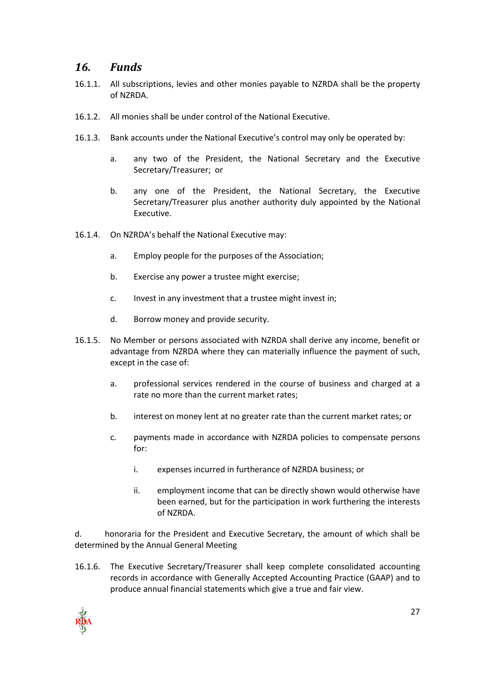## <span id="page-26-0"></span>*16. Funds*

- 16.1.1. All subscriptions, levies and other monies payable to NZRDA shall be the property of NZRDA.
- 16.1.2. All monies shall be under control of the National Executive.
- 16.1.3. Bank accounts under the National Executive's control may only be operated by:
	- a. any two of the President, the National Secretary and the Executive Secretary/Treasurer; or
	- b. any one of the President, the National Secretary, the Executive Secretary/Treasurer plus another authority duly appointed by the National Executive.
- 16.1.4. On NZRDA's behalf the National Executive may:
	- a. Employ people for the purposes of the Association;
	- b. Exercise any power a trustee might exercise;
	- c. Invest in any investment that a trustee might invest in;
	- d. Borrow money and provide security.
- 16.1.5. No Member or persons associated with NZRDA shall derive any income, benefit or advantage from NZRDA where they can materially influence the payment of such, except in the case of:
	- a. professional services rendered in the course of business and charged at a rate no more than the current market rates;
	- b. interest on money lent at no greater rate than the current market rates; or
	- c. payments made in accordance with NZRDA policies to compensate persons for:
		- i. expenses incurred in furtherance of NZRDA business; or
		- ii. employment income that can be directly shown would otherwise have been earned, but for the participation in work furthering the interests of NZRDA.

d. honoraria for the President and Executive Secretary, the amount of which shall be determined by the Annual General Meeting

16.1.6. The Executive Secretary/Treasurer shall keep complete consolidated accounting records in accordance with Generally Accepted Accounting Practice (GAAP) and to produce annual financial statements which give a true and fair view.

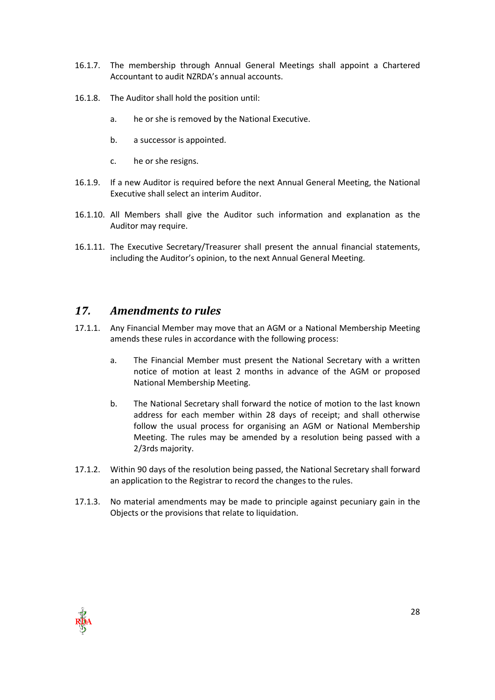- 16.1.7. The membership through Annual General Meetings shall appoint a Chartered Accountant to audit NZRDA's annual accounts.
- 16.1.8. The Auditor shall hold the position until:
	- a. he or she is removed by the National Executive.
	- b. a successor is appointed.
	- c. he or she resigns.
- 16.1.9. If a new Auditor is required before the next Annual General Meeting, the National Executive shall select an interim Auditor.
- 16.1.10. All Members shall give the Auditor such information and explanation as the Auditor may require.
- 16.1.11. The Executive Secretary/Treasurer shall present the annual financial statements, including the Auditor's opinion, to the next Annual General Meeting.

### <span id="page-27-0"></span>*17. Amendments to rules*

- 17.1.1. Any Financial Member may move that an AGM or a National Membership Meeting amends these rules in accordance with the following process:
	- a. The Financial Member must present the National Secretary with a written notice of motion at least 2 months in advance of the AGM or proposed National Membership Meeting.
	- b. The National Secretary shall forward the notice of motion to the last known address for each member within 28 days of receipt; and shall otherwise follow the usual process for organising an AGM or National Membership Meeting. The rules may be amended by a resolution being passed with a 2/3rds majority.
- 17.1.2. Within 90 days of the resolution being passed, the National Secretary shall forward an application to the Registrar to record the changes to the rules.
- 17.1.3. No material amendments may be made to principle against pecuniary gain in the Objects or the provisions that relate to liquidation.

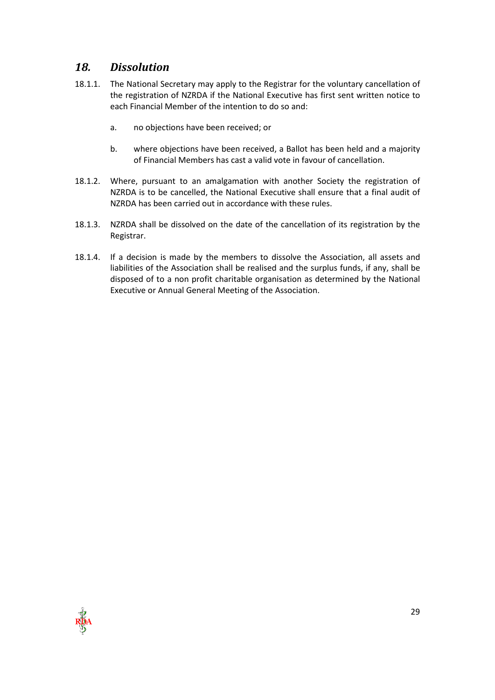## <span id="page-28-0"></span>*18. Dissolution*

- 18.1.1. The National Secretary may apply to the Registrar for the voluntary cancellation of the registration of NZRDA if the National Executive has first sent written notice to each Financial Member of the intention to do so and:
	- a. no objections have been received; or
	- b. where objections have been received, a Ballot has been held and a majority of Financial Members has cast a valid vote in favour of cancellation.
- 18.1.2. Where, pursuant to an amalgamation with another Society the registration of NZRDA is to be cancelled, the National Executive shall ensure that a final audit of NZRDA has been carried out in accordance with these rules.
- 18.1.3. NZRDA shall be dissolved on the date of the cancellation of its registration by the Registrar.
- 18.1.4. If a decision is made by the members to dissolve the Association, all assets and liabilities of the Association shall be realised and the surplus funds, if any, shall be disposed of to a non profit charitable organisation as determined by the National Executive or Annual General Meeting of the Association.

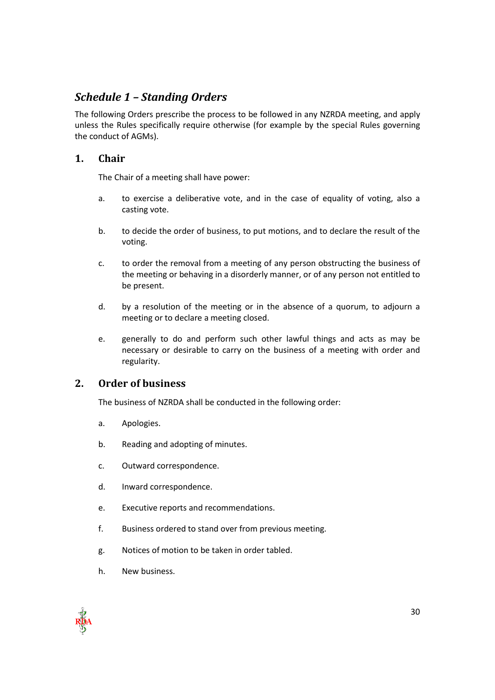## <span id="page-29-0"></span>*Schedule 1 – Standing Orders*

The following Orders prescribe the process to be followed in any NZRDA meeting, and apply unless the Rules specifically require otherwise (for example by the special Rules governing the conduct of AGMs).

## **1. Chair**

The Chair of a meeting shall have power:

- a. to exercise a deliberative vote, and in the case of equality of voting, also a casting vote.
- b. to decide the order of business, to put motions, and to declare the result of the voting.
- c. to order the removal from a meeting of any person obstructing the business of the meeting or behaving in a disorderly manner, or of any person not entitled to be present.
- d. by a resolution of the meeting or in the absence of a quorum, to adjourn a meeting or to declare a meeting closed.
- e. generally to do and perform such other lawful things and acts as may be necessary or desirable to carry on the business of a meeting with order and regularity.

### **2. Order of business**

The business of NZRDA shall be conducted in the following order:

- a. Apologies.
- b. Reading and adopting of minutes.
- c. Outward correspondence.
- d. Inward correspondence.
- e. Executive reports and recommendations.
- f. Business ordered to stand over from previous meeting.
- g. Notices of motion to be taken in order tabled.
- h. New business.

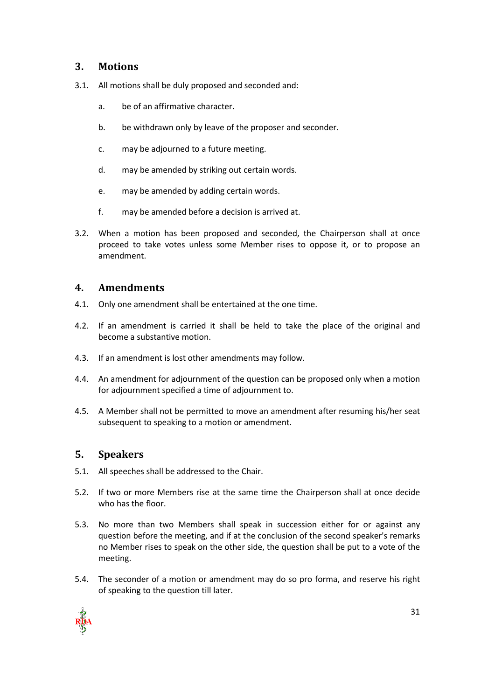#### **3. Motions**

- 3.1. All motions shall be duly proposed and seconded and:
	- a. be of an affirmative character.
	- b. be withdrawn only by leave of the proposer and seconder.
	- c. may be adjourned to a future meeting.
	- d. may be amended by striking out certain words.
	- e. may be amended by adding certain words.
	- f. may be amended before a decision is arrived at.
- 3.2. When a motion has been proposed and seconded, the Chairperson shall at once proceed to take votes unless some Member rises to oppose it, or to propose an amendment.

#### **4. Amendments**

- 4.1. Only one amendment shall be entertained at the one time.
- 4.2. If an amendment is carried it shall be held to take the place of the original and become a substantive motion.
- 4.3. If an amendment is lost other amendments may follow.
- 4.4. An amendment for adjournment of the question can be proposed only when a motion for adjournment specified a time of adjournment to.
- 4.5. A Member shall not be permitted to move an amendment after resuming his/her seat subsequent to speaking to a motion or amendment.

#### **5. Speakers**

- 5.1. All speeches shall be addressed to the Chair.
- 5.2. If two or more Members rise at the same time the Chairperson shall at once decide who has the floor.
- 5.3. No more than two Members shall speak in succession either for or against any question before the meeting, and if at the conclusion of the second speaker's remarks no Member rises to speak on the other side, the question shall be put to a vote of the meeting.
- 5.4. The seconder of a motion or amendment may do so pro forma, and reserve his right of speaking to the question till later.